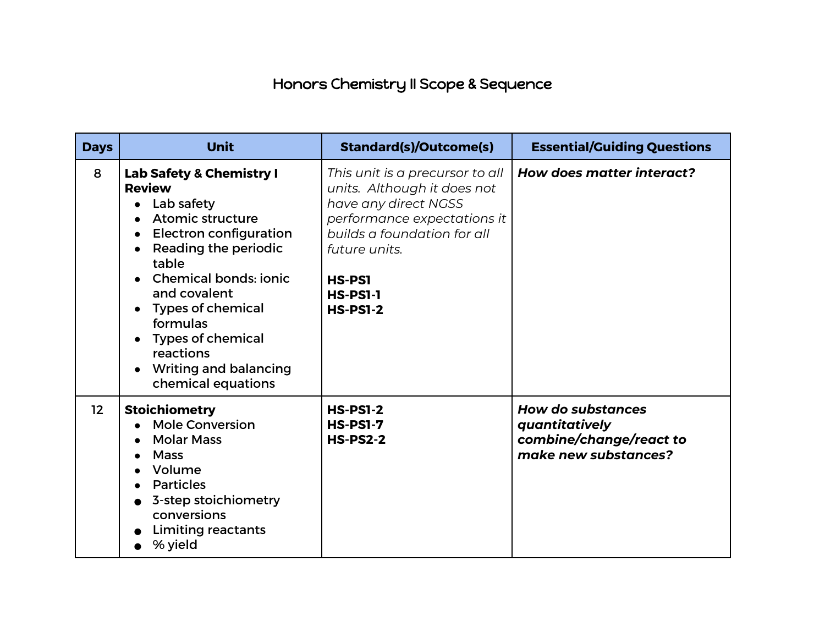## Honors Chemistry II Scope & Sequence

| <b>Days</b> | <b>Unit</b>                                                                                                                                                                                                                                                                                                                                            | <b>Standard(s)/Outcome(s)</b>                                                                                                                                                                                                | <b>Essential/Guiding Questions</b>                                                            |
|-------------|--------------------------------------------------------------------------------------------------------------------------------------------------------------------------------------------------------------------------------------------------------------------------------------------------------------------------------------------------------|------------------------------------------------------------------------------------------------------------------------------------------------------------------------------------------------------------------------------|-----------------------------------------------------------------------------------------------|
| 8           | <b>Lab Safety &amp; Chemistry I</b><br><b>Review</b><br>Lab safety<br><b>Atomic structure</b><br><b>Electron configuration</b><br>Reading the periodic<br>table<br><b>Chemical bonds: ionic</b><br>and covalent<br><b>Types of chemical</b><br>formulas<br><b>Types of chemical</b><br>reactions<br><b>Writing and balancing</b><br>chemical equations | This unit is a precursor to all<br>units. Although it does not<br>have any direct NGSS<br>performance expectations it<br>builds a foundation for all<br>future units.<br><b>HS-PS1</b><br><b>HS-PS1-1</b><br><b>HS-PS1-2</b> | How does matter interact?                                                                     |
| 12          | <b>Stoichiometry</b><br><b>Mole Conversion</b><br><b>Molar Mass</b><br><b>Mass</b><br>Volume<br><b>Particles</b><br>3-step stoichiometry<br>conversions<br><b>Limiting reactants</b><br>% yield                                                                                                                                                        | <b>HS-PS1-2</b><br><b>HS-PS1-7</b><br><b>HS-PS2-2</b>                                                                                                                                                                        | <b>How do substances</b><br>quantitatively<br>combine/change/react to<br>make new substances? |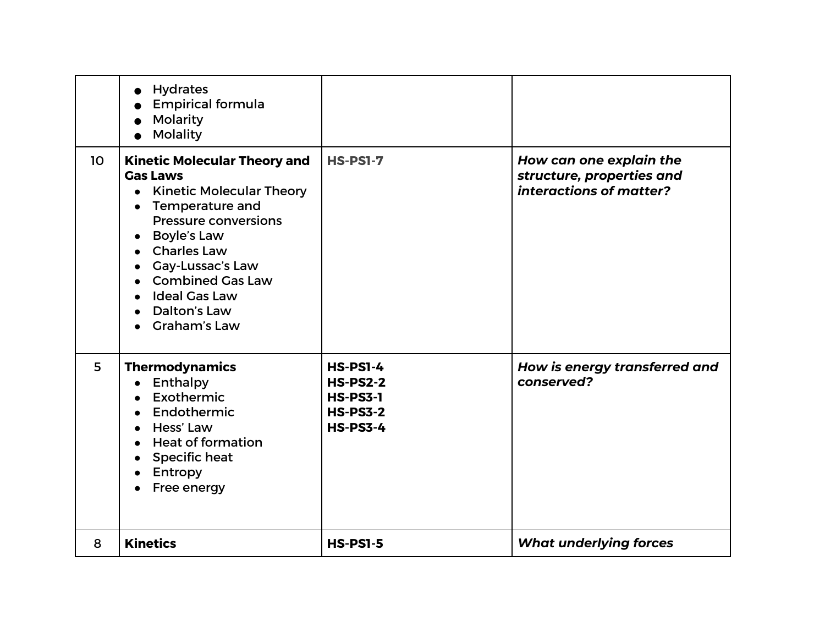|                 | <b>Hydrates</b><br>$\bullet$<br><b>Empirical formula</b><br>Molarity<br><b>Molality</b>                                                                                                                                                                                                                                                                          |                                                                                             |                                                                                 |
|-----------------|------------------------------------------------------------------------------------------------------------------------------------------------------------------------------------------------------------------------------------------------------------------------------------------------------------------------------------------------------------------|---------------------------------------------------------------------------------------------|---------------------------------------------------------------------------------|
| 10 <sup>°</sup> | <b>Kinetic Molecular Theory and</b><br><b>Gas Laws</b><br><b>Kinetic Molecular Theory</b><br><b>Temperature and</b><br>$\bullet$<br><b>Pressure conversions</b><br><b>Boyle's Law</b><br><b>Charles Law</b><br>Gay-Lussac's Law<br>$\bullet$<br><b>Combined Gas Law</b><br><b>Ideal Gas Law</b><br>$\bullet$<br>Dalton's Law<br>$\bullet$<br><b>Graham's Law</b> | <b>HS-PS1-7</b>                                                                             | How can one explain the<br>structure, properties and<br>interactions of matter? |
| 5               | <b>Thermodynamics</b><br>Enthalpy<br>$\bullet$<br>Exothermic<br>Endothermic<br>$\bullet$<br>• Hess' Law<br><b>Heat of formation</b><br><b>Specific heat</b><br>$\bullet$<br>Entropy<br>$\bullet$<br>Free energy                                                                                                                                                  | <b>HS-PS1-4</b><br><b>HS-PS2-2</b><br><b>HS-PS3-1</b><br><b>HS-PS3-2</b><br><b>HS-PS3-4</b> | How is energy transferred and<br>conserved?                                     |
| 8               | <b>Kinetics</b>                                                                                                                                                                                                                                                                                                                                                  | <b>HS-PS1-5</b>                                                                             | <b>What underlying forces</b>                                                   |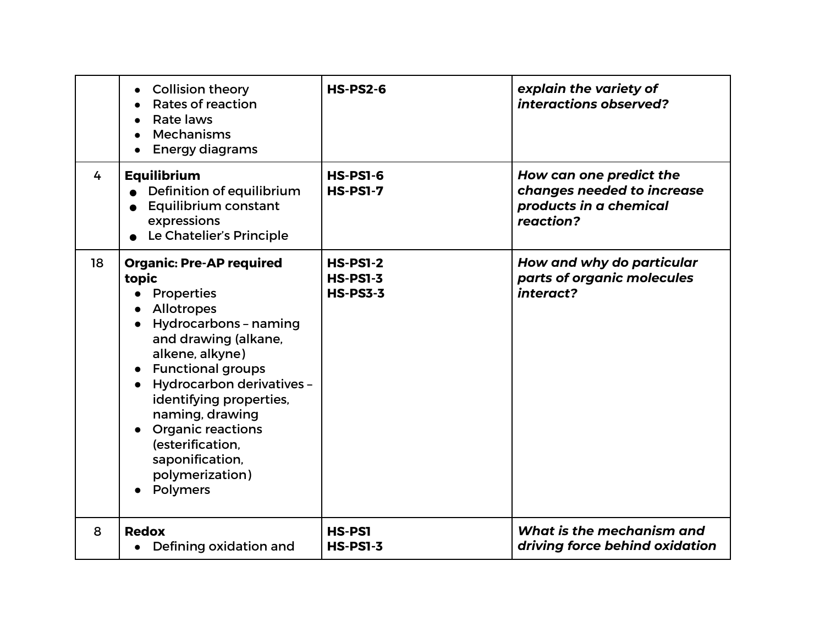|    | <b>Collision theory</b><br>$\bullet$<br>Rates of reaction<br>Rate laws<br><b>Mechanisms</b><br><b>Energy diagrams</b>                                                                                                                                                                                                                                                        | <b>HS-PS2-6</b>                                       | explain the variety of<br>interactions observed?                                             |
|----|------------------------------------------------------------------------------------------------------------------------------------------------------------------------------------------------------------------------------------------------------------------------------------------------------------------------------------------------------------------------------|-------------------------------------------------------|----------------------------------------------------------------------------------------------|
| 4  | <b>Equilibrium</b><br>Definition of equilibrium<br><b>Equilibrium constant</b><br>expressions<br>Le Chatelier's Principle                                                                                                                                                                                                                                                    | <b>HS-PS1-6</b><br><b>HS-PS1-7</b>                    | How can one predict the<br>changes needed to increase<br>products in a chemical<br>reaction? |
| 18 | <b>Organic: Pre-AP required</b><br>topic<br><b>Properties</b><br>Allotropes<br>Hydrocarbons - naming<br>$\bullet$<br>and drawing (alkane,<br>alkene, alkyne)<br><b>Functional groups</b><br><b>Hydrocarbon derivatives -</b><br>identifying properties,<br>naming, drawing<br><b>Organic reactions</b><br>(esterification,<br>saponification,<br>polymerization)<br>Polymers | <b>HS-PS1-2</b><br><b>HS-PS1-3</b><br><b>HS-PS3-3</b> | How and why do particular<br>parts of organic molecules<br>interact?                         |
| 8  | <b>Redox</b><br>Defining oxidation and                                                                                                                                                                                                                                                                                                                                       | <b>HS-PS1</b><br><b>HS-PS1-3</b>                      | What is the mechanism and<br>driving force behind oxidation                                  |